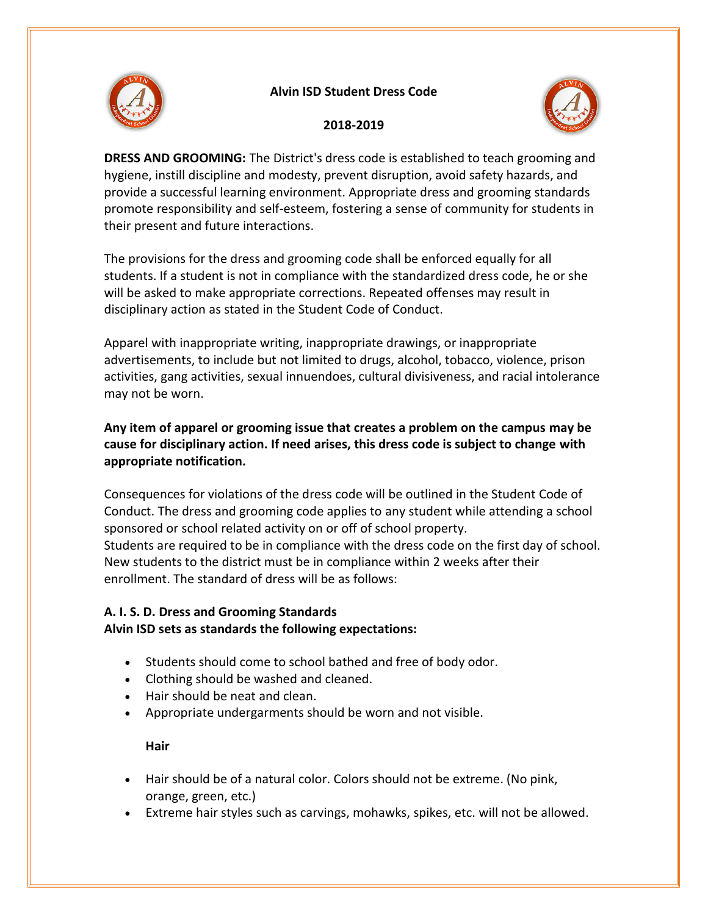

### **Alvin ISD Student Dress Code**



### **2018-2019**

**DRESS AND GROOMING:** The District's dress code is established to teach grooming and hygiene, instill discipline and modesty, prevent disruption, avoid safety hazards, and provide a successful learning environment. Appropriate dress and grooming standards promote responsibility and self-esteem, fostering a sense of community for students in their present and future interactions.

The provisions for the dress and grooming code shall be enforced equally for all students. If a student is not in compliance with the standardized dress code, he or she will be asked to make appropriate corrections. Repeated offenses may result in disciplinary action as stated in the Student Code of Conduct.

Apparel with inappropriate writing, inappropriate drawings, or inappropriate advertisements, to include but not limited to drugs, alcohol, tobacco, violence, prison activities, gang activities, sexual innuendoes, cultural divisiveness, and racial intolerance may not be worn.

# **Any item of apparel or grooming issue that creates a problem on the campus may be cause for disciplinary action. If need arises, this dress code is subject to change with appropriate notification.**

Consequences for violations of the dress code will be outlined in the Student Code of Conduct. The dress and grooming code applies to any student while attending a school sponsored or school related activity on or off of school property. Students are required to be in compliance with the dress code on the first day of school. New students to the district must be in compliance within 2 weeks after their enrollment. The standard of dress will be as follows:

## **A. I. S. D. Dress and Grooming Standards Alvin ISD sets as standards the following expectations:**

- Students should come to school bathed and free of body odor.
- Clothing should be washed and cleaned.
- Hair should be neat and clean.
- Appropriate undergarments should be worn and not visible.

## **Hair**

- Hair should be of a natural color. Colors should not be extreme. (No pink, orange, green, etc.)
- Extreme hair styles such as carvings, mohawks, spikes, etc. will not be allowed.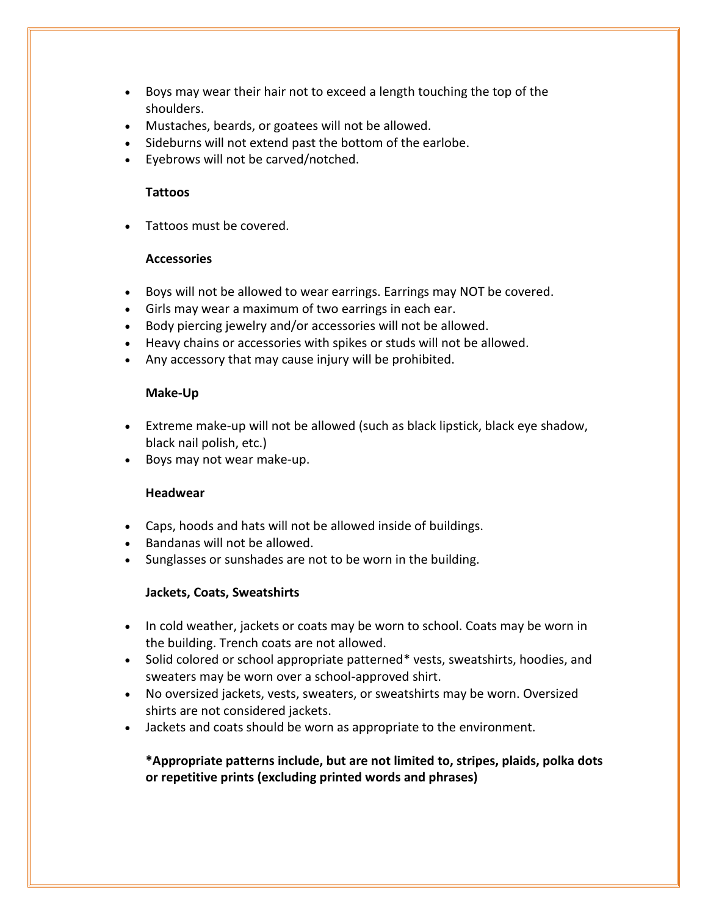- Boys may wear their hair not to exceed a length touching the top of the shoulders.
- Mustaches, beards, or goatees will not be allowed.
- Sideburns will not extend past the bottom of the earlobe.
- Eyebrows will not be carved/notched.

#### **Tattoos**

Tattoos must be covered.

#### **Accessories**

- Boys will not be allowed to wear earrings. Earrings may NOT be covered.
- Girls may wear a maximum of two earrings in each ear.
- Body piercing jewelry and/or accessories will not be allowed.
- Heavy chains or accessories with spikes or studs will not be allowed.
- Any accessory that may cause injury will be prohibited.

#### **Make-Up**

- Extreme make-up will not be allowed (such as black lipstick, black eye shadow, black nail polish, etc.)
- Boys may not wear make-up.

### **Headwear**

- Caps, hoods and hats will not be allowed inside of buildings.
- Bandanas will not be allowed.
- Sunglasses or sunshades are not to be worn in the building.

### **Jackets, Coats, Sweatshirts**

- In cold weather, jackets or coats may be worn to school. Coats may be worn in the building. Trench coats are not allowed.
- Solid colored or school appropriate patterned\* vests, sweatshirts, hoodies, and sweaters may be worn over a school-approved shirt.
- No oversized jackets, vests, sweaters, or sweatshirts may be worn. Oversized shirts are not considered jackets.
- Jackets and coats should be worn as appropriate to the environment.

## **\*Appropriate patterns include, but are not limited to, stripes, plaids, polka dots or repetitive prints (excluding printed words and phrases)**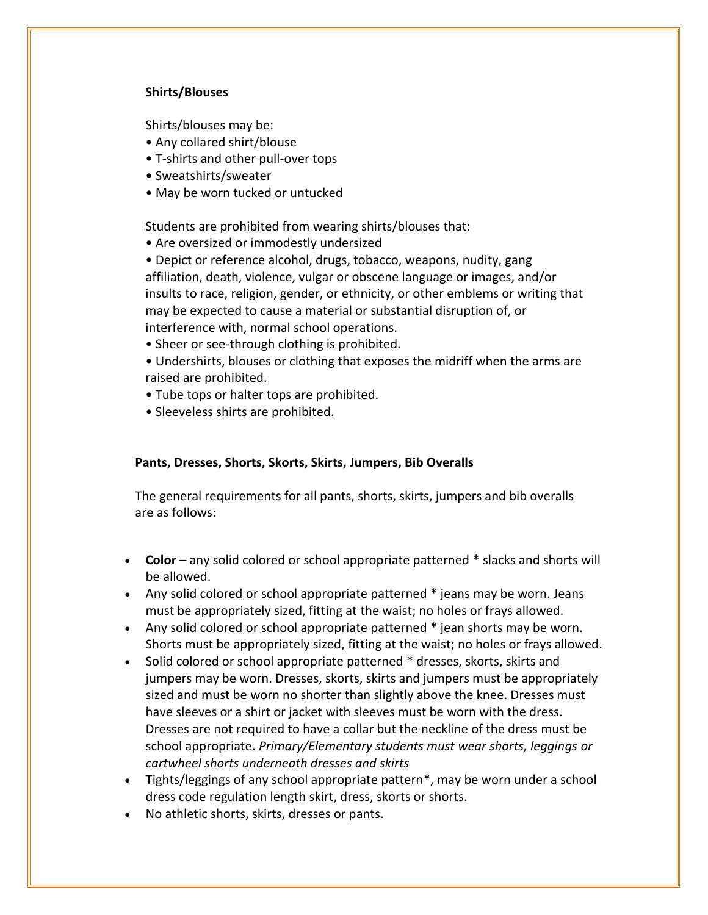### **Shirts/Blouses**

Shirts/blouses may be:

- Any collared shirt/blouse
- T-shirts and other pull-over tops
- Sweatshirts/sweater
- May be worn tucked or untucked

Students are prohibited from wearing shirts/blouses that:

• Are oversized or immodestly undersized

• Depict or reference alcohol, drugs, tobacco, weapons, nudity, gang affiliation, death, violence, vulgar or obscene language or images, and/or insults to race, religion, gender, or ethnicity, or other emblems or writing that may be expected to cause a material or substantial disruption of, or interference with, normal school operations.

- Sheer or see-through clothing is prohibited.
- Undershirts, blouses or clothing that exposes the midriff when the arms are raised are prohibited.
- Tube tops or halter tops are prohibited.
- Sleeveless shirts are prohibited.

#### **Pants, Dresses, Shorts, Skorts, Skirts, Jumpers, Bib Overalls**

The general requirements for all pants, shorts, skirts, jumpers and bib overalls are as follows:

- **Color**  any solid colored or school appropriate patterned \* slacks and shorts will be allowed.
- Any solid colored or school appropriate patterned \* jeans may be worn. Jeans must be appropriately sized, fitting at the waist; no holes or frays allowed.
- Any solid colored or school appropriate patterned \* jean shorts may be worn. Shorts must be appropriately sized, fitting at the waist; no holes or frays allowed.
- Solid colored or school appropriate patterned \* dresses, skorts, skirts and jumpers may be worn. Dresses, skorts, skirts and jumpers must be appropriately sized and must be worn no shorter than slightly above the knee. Dresses must have sleeves or a shirt or jacket with sleeves must be worn with the dress. Dresses are not required to have a collar but the neckline of the dress must be school appropriate. *Primary/Elementary students must wear shorts, leggings or cartwheel shorts underneath dresses and skirts*
- Tights/leggings of any school appropriate pattern\*, may be worn under a school dress code regulation length skirt, dress, skorts or shorts.
- No athletic shorts, skirts, dresses or pants.